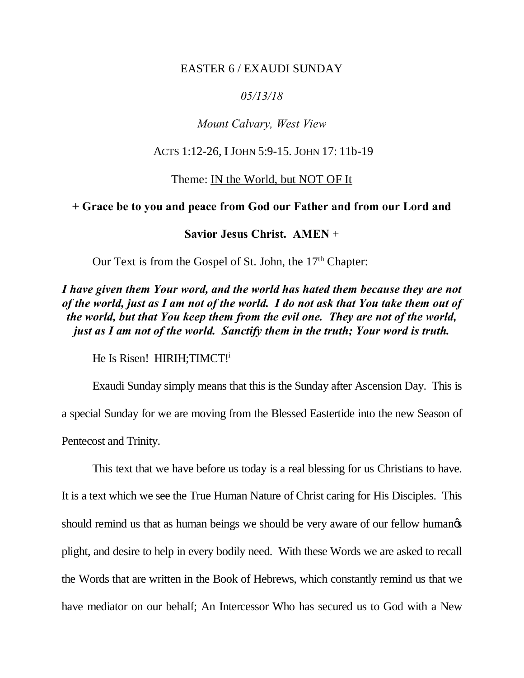#### EASTER 6 / EXAUDI SUNDAY

## *05/13/18*

# *Mount Calvary, West View*

### ACTS 1:12-26, I JOHN 5:9-15. JOHN 17: 11b-19

#### Theme: IN the World, but NOT OF It

#### **+ Grace be to you and peace from God our Father and from our Lord and**

## **Savior Jesus Christ. AMEN** +

Our Text is from the Gospel of St. John, the  $17<sup>th</sup>$  Chapter:

# *I have given them Your word, and the world has hated them because they are not of the world, just as I am not of the world. I do not ask that You take them out of the world, but that You keep them from the evil one. They are not of the world, just as I am not of the world. Sanctify them in the truth; Your word is truth.*

He Is Risen! HIRIH; TIMCT!

Exaudi Sunday simply means that this is the Sunday after Ascension Day. This is a special Sunday for we are moving from the Blessed Eastertide into the new Season of Pentecost and Trinity.

This text that we have before us today is a real blessing for us Christians to have.

It is a text which we see the True Human Nature of Christ caring for His Disciples. This should remind us that as human beings we should be very aware of our fellow humanos plight, and desire to help in every bodily need. With these Words we are asked to recall the Words that are written in the Book of Hebrews, which constantly remind us that we have mediator on our behalf; An Intercessor Who has secured us to God with a New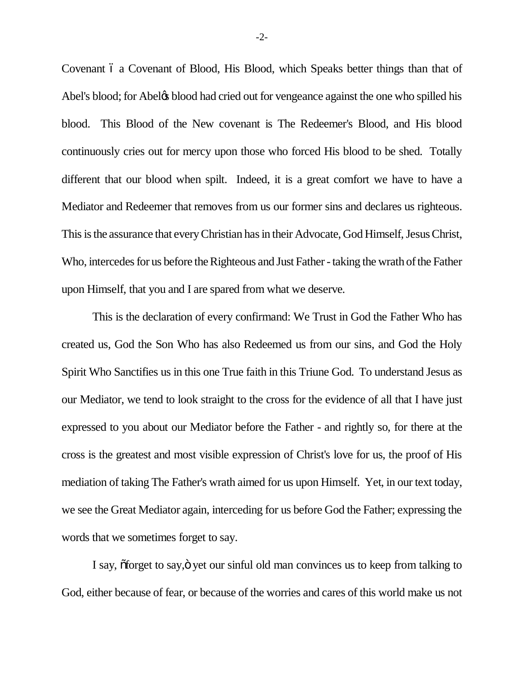Covenant 6 a Covenant of Blood, His Blood, which Speaks better things than that of Abel's blood; for Abeløs blood had cried out for vengeance against the one who spilled his blood. This Blood of the New covenant is The Redeemer's Blood, and His blood continuously cries out for mercy upon those who forced His blood to be shed. Totally different that our blood when spilt. Indeed, it is a great comfort we have to have a Mediator and Redeemer that removes from us our former sins and declares us righteous. This is the assurance that every Christian has in their Advocate, God Himself, Jesus Christ, Who, intercedes for us before the Righteous and Just Father - taking the wrath of the Father upon Himself, that you and I are spared from what we deserve.

This is the declaration of every confirmand: We Trust in God the Father Who has created us, God the Son Who has also Redeemed us from our sins, and God the Holy Spirit Who Sanctifies us in this one True faith in this Triune God. To understand Jesus as our Mediator, we tend to look straight to the cross for the evidence of all that I have just expressed to you about our Mediator before the Father - and rightly so, for there at the cross is the greatest and most visible expression of Christ's love for us, the proof of His mediation of taking The Father's wrath aimed for us upon Himself. Yet, in our text today, we see the Great Mediator again, interceding for us before God the Father; expressing the words that we sometimes forget to say.

I say,  $\tilde{\sigma}$  forget to say, $\ddot{\sigma}$  yet our sinful old man convinces us to keep from talking to God, either because of fear, or because of the worries and cares of this world make us not

-2-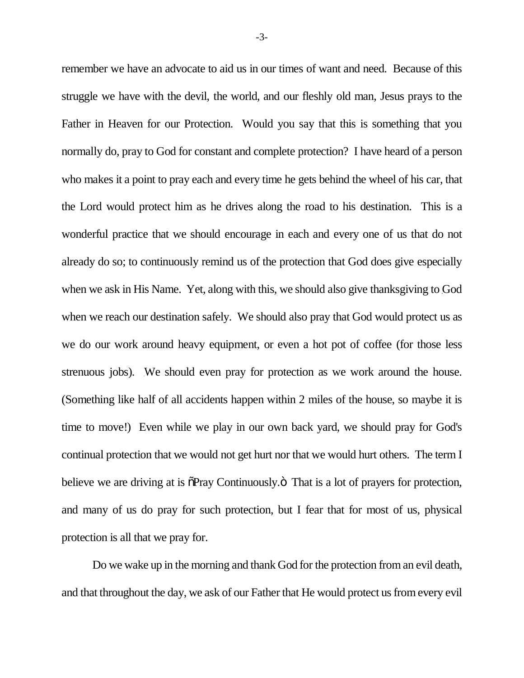remember we have an advocate to aid us in our times of want and need. Because of this struggle we have with the devil, the world, and our fleshly old man, Jesus prays to the Father in Heaven for our Protection. Would you say that this is something that you normally do, pray to God for constant and complete protection? I have heard of a person who makes it a point to pray each and every time he gets behind the wheel of his car, that the Lord would protect him as he drives along the road to his destination. This is a wonderful practice that we should encourage in each and every one of us that do not already do so; to continuously remind us of the protection that God does give especially when we ask in His Name. Yet, along with this, we should also give thanksgiving to God when we reach our destination safely. We should also pray that God would protect us as we do our work around heavy equipment, or even a hot pot of coffee (for those less strenuous jobs). We should even pray for protection as we work around the house. (Something like half of all accidents happen within 2 miles of the house, so maybe it is time to move!) Even while we play in our own back yard, we should pray for God's continual protection that we would not get hurt nor that we would hurt others. The term I believe we are driving at is  $\delta$ Pray Continuously. $\ddot{\sigma}$  That is a lot of prayers for protection, and many of us do pray for such protection, but I fear that for most of us, physical protection is all that we pray for.

Do we wake up in the morning and thank God for the protection from an evil death, and that throughout the day, we ask of our Father that He would protect us from every evil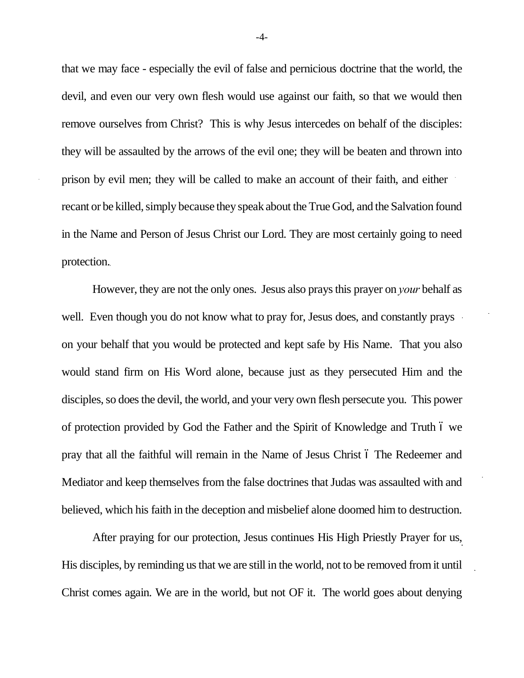that we may face - especially the evil of false and pernicious doctrine that the world, the devil, and even our very own flesh would use against our faith, so that we would then remove ourselves from Christ? This is why Jesus intercedes on behalf of the disciples: they will be assaulted by the arrows of the evil one; they will be beaten and thrown into prison by evil men; they will be called to make an account of their faith, and either recant or be killed, simply because they speak about the True God, and the Salvation found in the Name and Person of Jesus Christ our Lord. They are most certainly going to need protection.

However, they are not the only ones. Jesus also prays this prayer on *your* behalf as well. Even though you do not know what to pray for, Jesus does, and constantly prays on your behalf that you would be protected and kept safe by His Name. That you also would stand firm on His Word alone, because just as they persecuted Him and the disciples, so does the devil, the world, and your very own flesh persecute you. This power of protection provided by God the Father and the Spirit of Knowledge and Truth  $\acute{o}$  we pray that all the faithful will remain in the Name of Jesus Christ  $\acute{o}$  The Redeemer and Mediator and keep themselves from the false doctrines that Judas was assaulted with and believed, which his faith in the deception and misbelief alone doomed him to destruction.

After praying for our protection, Jesus continues His High Priestly Prayer for us, His disciples, by reminding us that we are still in the world, not to be removed from it until Christ comes again. We are in the world, but not OF it. The world goes about denying

-4-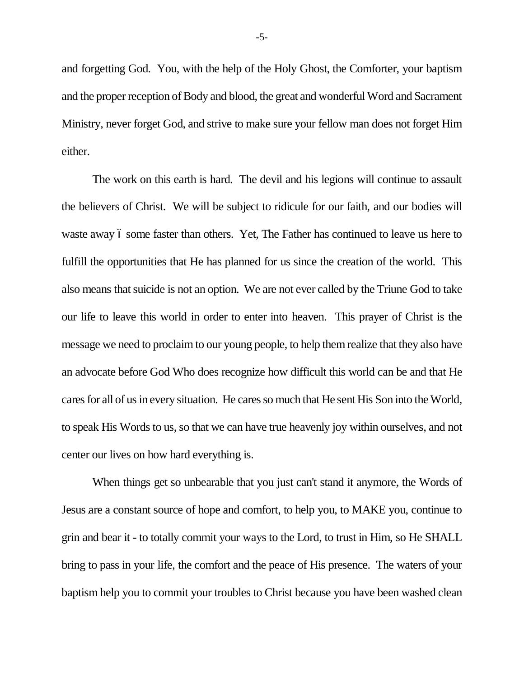and forgetting God. You, with the help of the Holy Ghost, the Comforter, your baptism and the proper reception of Body and blood, the great and wonderful Word and Sacrament Ministry, never forget God, and strive to make sure your fellow man does not forget Him either.

The work on this earth is hard. The devil and his legions will continue to assault the believers of Christ. We will be subject to ridicule for our faith, and our bodies will waste away 6 some faster than others. Yet, The Father has continued to leave us here to fulfill the opportunities that He has planned for us since the creation of the world. This also means that suicide is not an option. We are not ever called by the Triune God to take our life to leave this world in order to enter into heaven. This prayer of Christ is the message we need to proclaim to our young people, to help them realize that they also have an advocate before God Who does recognize how difficult this world can be and that He cares for all of us in every situation. He cares so much that He sent His Son into the World, to speak His Words to us, so that we can have true heavenly joy within ourselves, and not center our lives on how hard everything is.

When things get so unbearable that you just can't stand it anymore, the Words of Jesus are a constant source of hope and comfort, to help you, to MAKE you, continue to grin and bear it - to totally commit your ways to the Lord, to trust in Him, so He SHALL bring to pass in your life, the comfort and the peace of His presence. The waters of your baptism help you to commit your troubles to Christ because you have been washed clean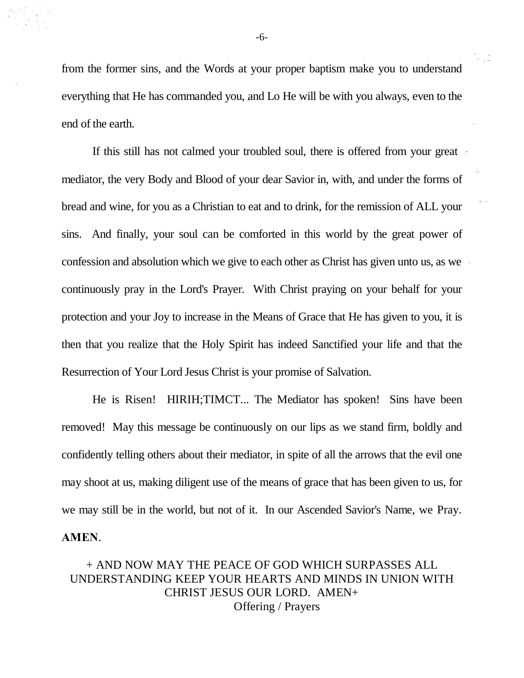from the former sins, and the Words at your proper baptism make you to understand everything that He has commanded you, and Lo He will be with you always, even to the end of the earth.

If this still has not calmed your troubled soul, there is offered from your great mediator, the very Body and Blood of your dear Savior in, with, and under the forms of bread and wine, for you as a Christian to eat and to drink, for the remission of ALL your sins. And finally, your soul can be comforted in this world by the great power of confession and absolution which we give to each other as Christ has given unto us, as we continuously pray in the Lord's Prayer. With Christ praying on your behalf for your protection and your Joy to increase in the Means of Grace that He has given to you, it is then that you realize that the Holy Spirit has indeed Sanctified your life and that the Resurrection of Your Lord Jesus Christ is your promise of Salvation.

He is Risen! HIRIH;TIMCT... The Mediator has spoken! Sins have been removed! May this message be continuously on our lips as we stand firm, boldly and confidently telling others about their mediator, in spite of all the arrows that the evil one may shoot at us, making diligent use of the means of grace that has been given to us, for we may still be in the world, but not of it. In our Ascended Savior's Name, we Pray. **AMEN**.

# + AND NOW MAY THE PEACE OF GOD WHICH SURPASSES ALL UNDERSTANDING KEEP YOUR HEARTS AND MINDS IN UNION WITH CHRIST JESUS OUR LORD. AMEN+ Offering / Prayers

-6-